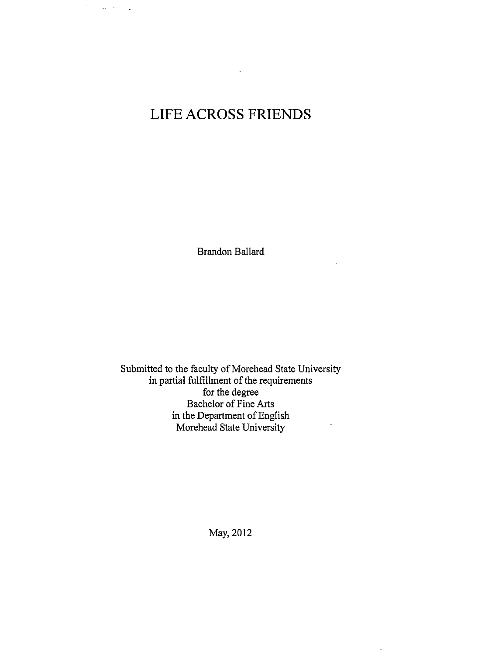# **LIFE ACROSS FRIENDS**

 $\sim$ 

 $\omega$ 

 $\Delta \phi \to 0$ 

 $\overline{a}$ 

Brandon Ballard

 $\overline{\phantom{a}}$ 

Submitted to the faculty of Morehead State University in partial fulfillment of the requirements for the degree Bachelor of Fine Arts in the Department of English Morehead State University

May, 2012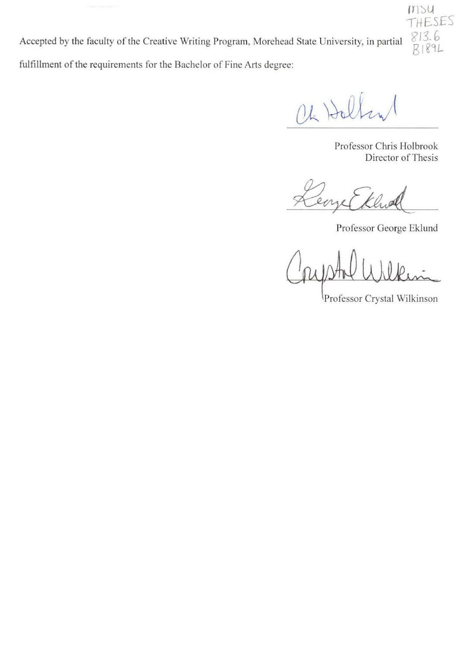Accepted by the faculty of the Creative Writing Program, Morehead State University in partial fulfillment of the requirements for the Bachelor of Fine Arts degree: P,13.f>  $B189L$ 

 $(1)$  Hall

Professor Chris Holbrook Director of Thesis

**rrJ JU**  1hESES

eaze

Professor George Eklund

*Q(kpU* **W1~£A~-**

Professor Crystal Wilkinson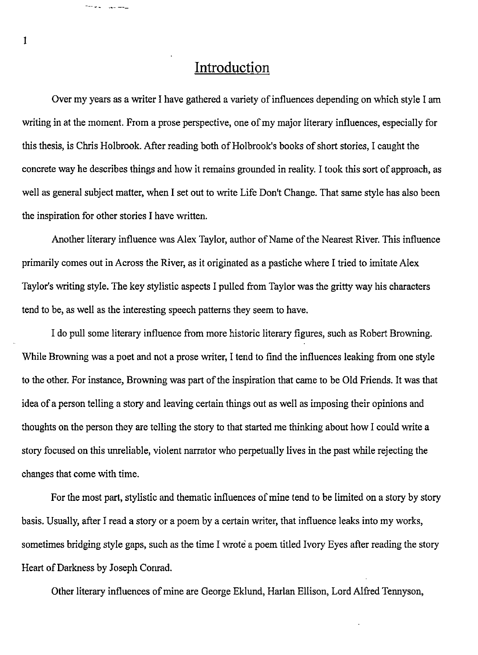### **Introduction**

Over my years as a writer I have gathered a variety of influences depending on which style I am writing in at the moment. From a prose perspective, one of my major literary influences, especially for this thesis, is Chris Holbrook. After reading both of Holbrook's books of short stories, I caught the concrete way he describes things and how it remains grounded in reality. I took this sort of approach, as well as general subject matter, when I set out to write Life Don't Change. That same style has also been the inspiration for other stories I have written.

Another literary influence was Alex Taylor, author of Name of the Nearest River. This influence primarily comes out in Across the River, as it originated as a pastiche where I tried to imitate Alex Taylor's writing style. The key stylistic aspects I pulled from Taylor was the gritty way his characters tend to be, as well as the interesting speech patterns they seem to have.

I do pull some literary influence from more historic literary figures, such as Robert Browning. While Browning was a poet and not a prose writer, I tend to find the influences leaking from one style to the other. For instance, Browning was part of the inspiration that came to be Old Friends. It was that idea of a person telling a story and leaving certain things out as well as imposing their opinions and thoughts on the person they are telling the story to that started me thinking about how I could write a story focused on this unreliable, violent narrator who perpetually lives in the past while rejecting the changes that come with time.

For the most part, stylistic and thematic influences of mine tend to be limited on a story by story basis. Usually, after I read a story or a poem by a certain writer, that influence leaks into my works, sometimes bridging style gaps, such as the time I wrote a poem titled Ivory Eyes after reading the story Heart of Darkness by Joseph Conrad.

Other literary influences of mine are George Eklund, Harlan Ellison, Lord Alfred Tennyson,

1

يتساعدن المحاجج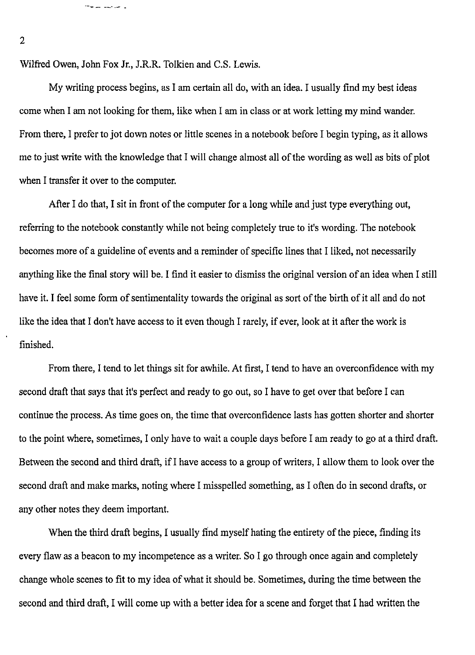Wilfred Owen, John Fox Jr., J.R.R. Tolkien and C.S. Lewis.

My writing process begins, as I am certain all do, with an idea. I usually find my best ideas come when I am not looking for them, like when I am in class or at work letting my mind wander. From there, I prefer to jot down notes or little scenes in a notebook before I begin typing, as it allows me to just write with the knowledge that I will change almost all of the wording as well as bits of plot when I transfer it over to the computer.

After I do that, I sit in front of the computer for a long while and just type everything out, referring to the notebook constantly while not being completely true to it's wording. The notebook becomes more of a guideline of events and a reminder of specific lines that I liked, not necessarily anything like the final story will be. I find it easier to dismiss the original version of an idea when I still have it. I feel some form of sentimentality towards the original as sort of the birth of it all and do not like the idea that I don't have access to it even though I rarely, if ever, look at it after the work is finished.

From there, I tend to let things sit for awhile. At first, I tend to have an overconfidence with my second draft that says that it's perfect and ready to go out, so I have to get over that before I can continue the process. As time goes on, the time that overconfidence lasts has gotten shorter and shorter to the point where, sometimes, I only have to wait a couple days before I am ready to go at a third draft. Between the second and third draft, if I have access to a group of writers, I allow them to look over the second draft and make marks, noting where I misspelled something, as I often do in second drafts, or any other notes they deem important.

When the third draft begins, I usually find myself hating the entirety of the piece, finding its every flaw as a beacon to my incompetence as a writer. So I go through once again and completely change whole scenes to fit to my idea of what it should be. Sometimes, during the time between the second and third draft, I will come up with a better idea for a scene and forget that I had written the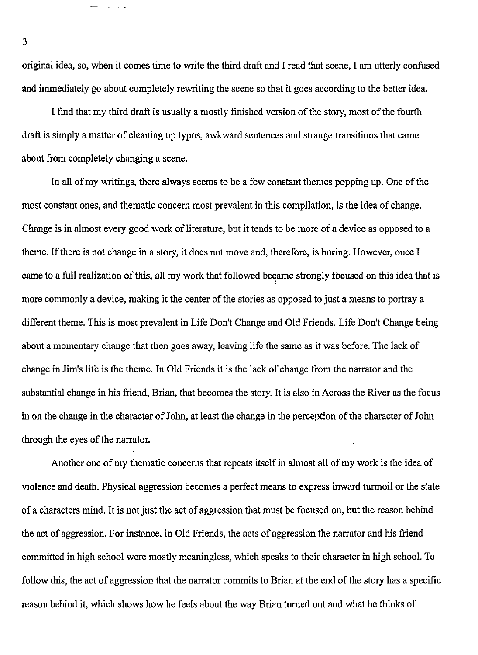original idea, so, when it comes time to write the third draft and I read that scene, I am utterly confused and immediately go about completely rewriting the scene so that it goes according to the better idea.

I find that my third draft is usually a mostly finished version of the story, most of the fourth draft is simply a matter of cleaning up typos, awkward sentences and strange transitions that came about from completely changing a scene.

In all of my writings, there always seems to be a few constant themes popping up. One of the most constant ones, and thematic concern most prevalent in this compilation, is the idea of change. Change is in almost every good work of literature, but it tends to be more of a device as opposed to a theme. If there is not change in a story, it does not move and, therefore, is boring. However, once I came to a full realization of this, all my work that followed became strongly focused on this idea that is ' more commonly a device, making it the center of the stories as opposed to just a means to portray a different theme. This is most prevalent in Life Don't Change and Old Friends. Life Don't Change being about a momentary change that then goes away, leaving life the same as it was before. The lack of change in Jim's life is the theme. In Old Friends it is the lack of change from the narrator and the substantial change in his friend, Brian, that becomes the story. It is also in Across the River as the focus in on the change in the character of John, at least the change in the perception of the character of John through the eyes of the narrator.

Another one of my thematic concerns that repeats itself in almost all of my work is the idea of violence and death. Physical aggression becomes a perfect means to express inward turmoil or the state of a characters mind. It is not just the act of aggression that must be focused on, but the reason behind the act of aggression. For instance, in Old Friends, the acts of aggression the narrator and his friend committed in high school were mostly meaningless, which speaks to their character in high school. To follow this, the act of aggression that the narrator commits to Brian at the end of the story has a specific reason behind it, which shows how he feels about the way Brian turned out and what he thinks of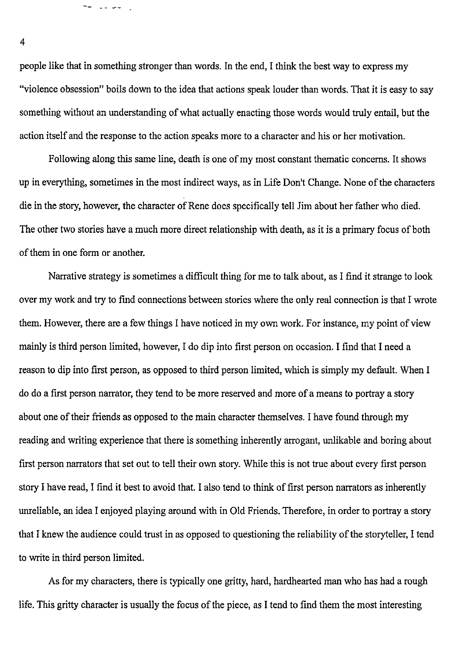people like that in something stronger than words. In the end, I think the best way to express my "violence obsession" boils down to the idea that actions speak louder than words. That it is easy to say something without an understanding of what actually enacting those words would truly entail, but the action itself and the response to the action speaks more to a character and his or her motivation.

Following along this same line, death is one of my most constant thematic concerns. It shows up in everything, sometimes in the most indirect ways, as in Life Don't Change. None of the characters die in the story, however, the character of Rene does specifically tell Jim about her father who died. The other two stories have a much more direct relationship with death, as it is a primary focus of both of them in one form or another.

Narrative strategy is sometimes a difficult thing for me to talk about, as I find it strange to look over my work and try to find connections between stories where the only real connection is that I wrote them. However, there are a few things I have noticed in my own work. For instance, my point of view mainly is third person limited, however, I do dip into first person on occasion. I find that I need a reason to dip into first person, as opposed to third person limited, which is simply my default. When I do do a first person narrator, they tend to be more reserved and more of a means to portray a story about one of their friends as opposed to the main character themselves. I have found through my reading and writing experience that there is something inherently arrogant, unlikable and boring about first person narrators that set out to tell their own story. While this is not true about every first person story I have read, I find it best to avoid that. I also tend to think of first person narrators as inherently unreliable, an idea I enjoyed playing around with in Old Friends. Therefore, in order to portray a story that I knew the audience could trust in as opposed to questioning the reliability of the storyteller, I tend to write in third person limited.

As for my characters, there is typically one gritty, hard, hardhearted man who has had a rough life. This gritty character is usually the focus of the piece, as I tend to find them the most interesting

4

ل الجواب عبد الجم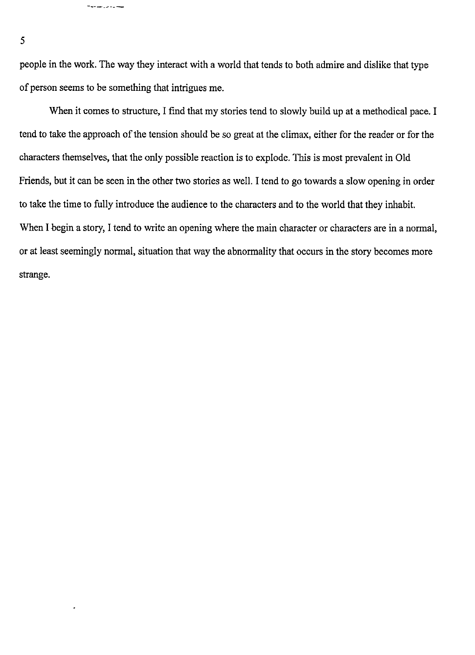people in the work. The way they interact with a world that tends to both admire and dislike that type of person seems to be something that intrigues me.

When it comes to structure, I find that my stories tend to slowly build up at a methodical pace. I tend to take the approach of the tension should be so great at the climax, either for the reader or for the characters themselves, that the only possible reaction is to explode. This is most prevalent in Old Friends, but it can be seen in the other two stories as well. I tend to go towards a slow opening in order to take the time to fully introduce the audience to the characters and to the world that they inhabit. When I begin a story, I tend to write an opening where the main character or characters are in a normal, or at least seemingly normal, situation that way the abnormality that occurs in the story becomes more strange.

5

فيسارد وراسا مداملة

 $\cdot$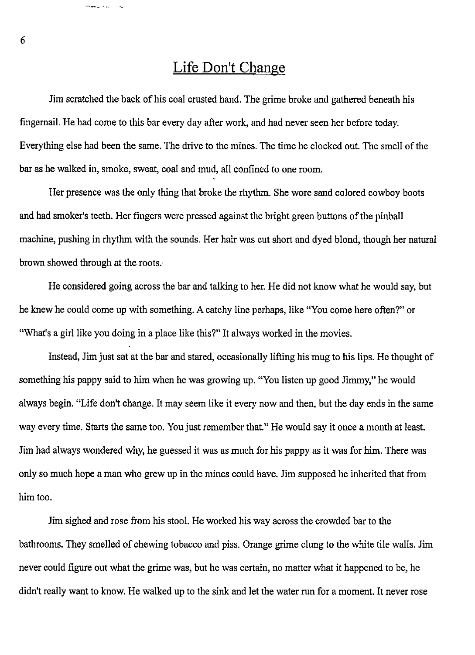## **Life Don't Change**

Jim scratched the back of his coal crusted hand. The grime broke and gathered beneath his fingernail. He had come to this bar every day after work, and had never seen her before today. Everything else had been the same. The drive to the mines. The time he clocked out. The smell of the bar as he walked in, smoke, sweat, coal and mud, all confined to one room.

Her presence was the only thing that broke the rhythm. She wore sand colored cowboy boots and had smoker's teeth. Her fingers were pressed against the bright green buttons of the pinball machine, pushing in rhythm with the sounds. Her hair was cut short and dyed blond, though her natural brown showed through at the roots.

He considered going across the bar and talking to her. He did not know what he would say, but he knew he could come up with something. A catchy line perhaps, like "You come here often?" or "What's a girl like you doing in a place like this?" It always worked in the movies.

Instead, Jim just sat at the bar and stared, occasionally lifting his mug to his lips. He thought of something his pappy said to him when he was growing up. "You listen up good Jimmy," he would always begin. "Life don't change. It may seem like it every now and then, but the day ends in the same way every time. Starts the same too. You just remember that." He would say it once a month at least. Jim had always wondered why, he guessed it was as much for his pappy as it was for him. There was only so much hope a man who grew up in the mines could have. Jim supposed he inherited that from him too.

Jim sighed and rose from his stool. He worked his way across the crowded bar to the bathrooms. They smelled of chewing tobacco and piss. Orange grime clung to the white tile walls. Jim never could figure out what the grime was, but he was certain, no matter what it happened to be, he didn't really want to know. He walked up to the sink and let the water run for a moment. It never rose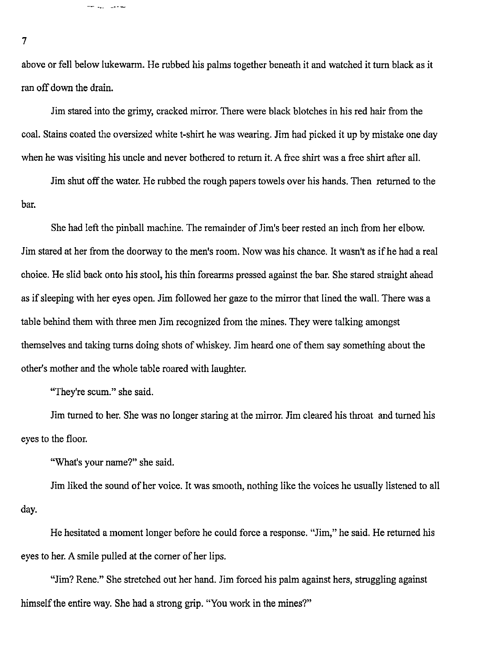above or fell below lukewarm. He rubbed his palms together beneath it and watched it turn black as it ran off down the drain.

Jim stared into the grimy, cracked mirror. There were black blotches in his red hair from the coal. Stains coated the oversized white t-shirt he was wearing. Jim had picked it up by mistake one day when he was visiting his uncle and never bothered to return it. A free shirt was a free shirt after all.

Jim shut off the water. He rubbed the rough papers towels over his hands. Then returned to the bar.

She had left the pinball machine. The remainder of Jim's beer rested an inch from her elbow. Jim stared at her from the doorway to the men's room. Now was his chance. It wasn't as ifhe had a real choice. He slid back onto his stool, his thin forearms pressed against the bar. She stared straight ahead as if sleeping with her eyes open. Jim followed her gaze to the mirror that lined the wall. There was a table behind them with three men Jim recognized from the mines. They were talking amongst themselves and taking turns doing shots of whiskey. Jim heard one of them say something about the other's mother and the whole table roared with laughter.

"They're scum." she said.

للمحتوى الرواضح

Jim turned to her. She was no longer staring at the mirror. Jim cleared his throat and turned his eyes to the floor.

"What's your name?" she said.

Jim liked the sound of her voice. It was smooth, nothing like the voices he usually listened to all day.

He hesitated a moment longer before he could force a response. "Jim," he said. He returned his eyes to her. A smile pulled at the corner of her lips.

"Jim? Rene." She stretched out her hand. Jim forced his palm against hers, struggling against himself the entire way. She had a strong grip. "You work in the mines?"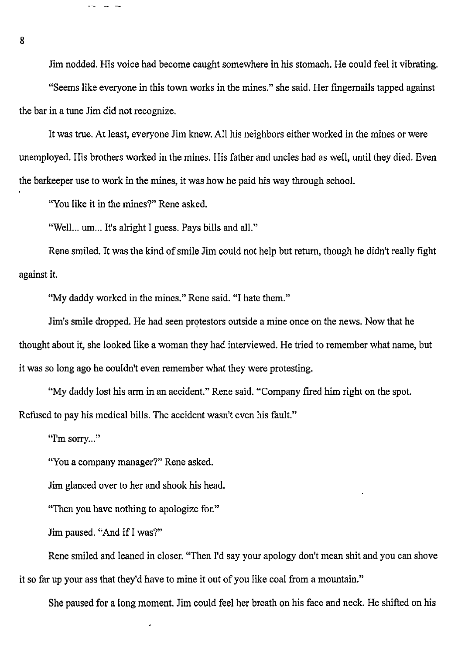Jim nodded. His voice had become caught somewhere in his stomach. He could feel it vibrating.

"Seems like everyone in this town works in the mines." she said. Her fingernails tapped against the bar in a tune Jim did not recognize.

It was true. At least, everyone Jim knew. All his neighbors either worked in the mines or were unemployed. His brothers worked in the mines. His father and uncles had as well, until they died. Even the barkeeper use to work in the mines, it was how he paid his way through school.

"You like it in the mines?" Rene asked.

ست سے اللہ و

"Well... um... It's alright I guess. Pays bills and all."

Rene smiled. It was the kind of smile Jim could not help but return, though he didn't really fight against it.

"My daddy worked in the mines." Rene said. "I hate them."

Jim's smile dropped. He had seen protestors outside a mine once on the news. Now that he thought about it, she looked like a woman they had interviewed. He tried to remember what name, but it was so long ago he couldn't even remember what they were protesting.

"My daddy lost his arm in an accident." Rene said. "Company fired him right on the spot. Refused to pay his medical bills. The accident wasn't even his fault."

"I'm sorry..."

"You a company manager?" Rene asked.

Jim glanced over to her and shook his head.

"Then you have nothing to apologize for."

Jim paused. "And if I was?"

Rene smiled and leaned in closer. "Then I'd say your apology don't mean shit and you can shove it so far up your ass that they'd have to mine it out of you like coal from a mountain."

She paused for a long moment. Jim could feel her breath on his face and neck. He shifted on his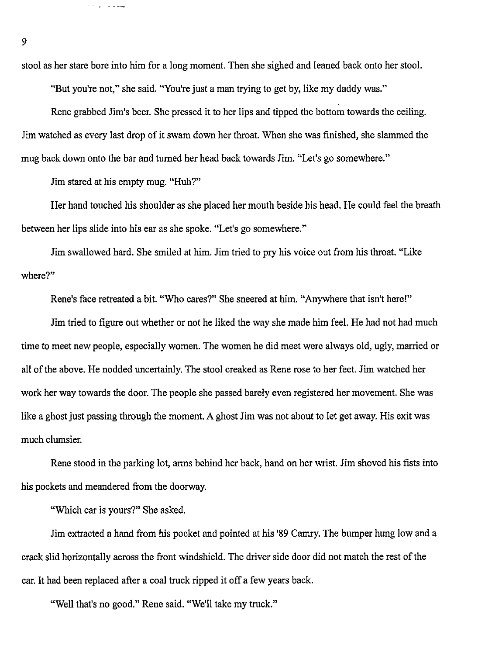stool as her stare bore into him for a long moment. Then she sighed and leaned back onto her stool.

"But you're not," she said. "You're just a man trying to get by, like my daddy was."

Rene grabbed Jim's beer. She pressed it to her lips and tipped the bottom towards the ceiling. Jim watched as every last drop of it swam down her throat. When she was finished, she slammed the mug back down onto the bar and turned her head back towards Jim. "Let's go somewhere."

Jim stared at his empty mug. "Huh?"

يتعادلون والمعا

Her hand touched his shoulder as she placed her mouth beside his head. He could feel the breath between her lips slide into his ear as she spoke. "Let's go somewhere."

Jim swallowed hard. She smiled at him. Jim tried to pry his voice out from his throat. "Like where?"

Rene's face retreated a bit. "Who cares?" She sneered at him. "Anywhere that isn't here!"

Jim tried to figure out whether or not he liked the way she made him feel. He had not had much time to meet new people, especially women. The women he did meet were always old, ugly, married or all of the above. He nodded uncertainly. The stool creaked as Rene rose to her feet. Jim watched her work her way towards the door. The people she passed barely even registered her movement. She was like a ghost just passing through the moment. A ghost Jim was not about to let get away. His exit was much clumsier.

Rene stood in the parking lot, arms behind her back, hand on her wrist. Jim shoved his fists into his pockets and meandered from the doorway.

"Which car is yours?" She asked.

Jim extracted a hand from his pocket and pointed at his '89 Camry. The bumper hung low and a crack slid horizontally across the front windshield. The driver side door did not match the rest of the car. It had been replaced after a coal truck ripped it off a few years back.

"Well that's no good." Rene said. "We'll take my truck."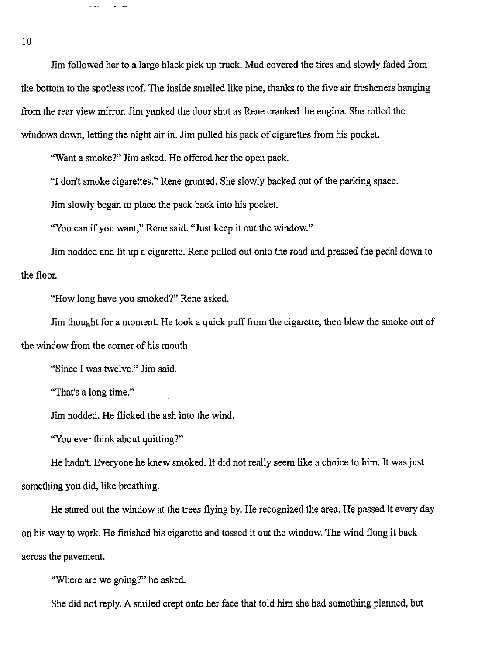Jim followed her to a large black pick up truck. Mud covered the tires and slowly faded from the bottom to the spotless roof. The inside smelled like pine, thanks to the five air fresheners hanging from the rear view mirror. Jim yanked the door shut as Rene cranked the engine. She rolled the windows down, letting the night air in. Jim pulled his pack of cigarettes from his pocket.

"Want a smoke?" Jim asked. He offered her the open pack.

"I don't smoke cigarettes." Rene grunted. She slowly backed out of the parking space.

Jim slowly began to place the pack back into his pocket.

"You can if you want," Rene said. "Just keep it out the window."

Jim nodded and lit up a cigarette. Rene pulled out onto the road and pressed the pedal down to the floor.

"How long have you smoked?" Rene asked.

Jim thought for a moment. He took a quick puff from the cigarette, then blew the smoke out of the window from the corner of his mouth.

"Since I was twelve." Jim said.

سابان الربيدي

"That's a long time."

Jim nodded. He flicked the ash into the wind.

"You ever think about quitting?"

He hadn't. Everyone he knew smoked. It did not really seem like a choice to him. It was just something you did, like breathing.

He stared out the window at the trees flying by. He recognized the area. He passed it every day on his way to work. He finished his cigarette and tossed it out the window. The wind flung it back across the pavement.

"Where are we going?" he asked.

She did not reply. A smiled crept onto her face that told him she had something planned, but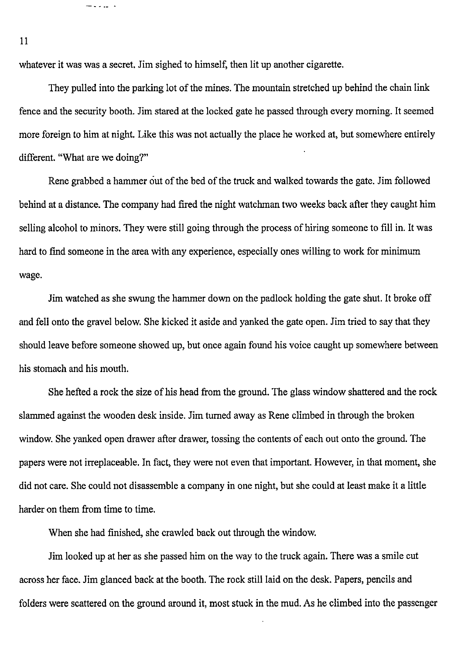whatever it was was a secret. Jim sighed to himself, then lit up another cigarette.

They pulled into the parking lot of the mines. The mountain stretched up behind the chain link fence and the security booth. Jim stared at the locked gate he passed through every morning. It seemed more foreign to him at night. Like this was not actually the place he worked at, but somewhere entirely different. "What are we doing?"

Rene grabbed a hammer ciut of the bed of the truck and walked towards the gate. Jim followed behind at a distance. The company had fired the night watchman two weeks back after they caught him selling alcohol to minors. They were still going through the process of hiring someone to fill in. It was hard to find someone in the area with any experience, especially ones willing to work for minimum wage.

Jim watched as she swung the hammer down on the padlock holding the gate shut. It broke off and fell onto the gravel below. She kicked it aside and yanked the gate open. Jim tried to say that they should leave before someone showed up, but once again found his voice caught up somewhere between his stomach and his mouth.

She hefted a rock the size of his head from the ground. The glass window shattered and the rock slammed against the wooden desk inside. Jim turned away as Rene climbed in through the broken window. She yanked open drawer after drawer, tossing the contents of each out onto the ground. The papers were not irreplaceable. In fact, they were not even that important. However, in that moment, she did not care. She could not disassemble a company in one night, but she could at least make it a little harder on them from time to time.

When she had finished, she crawled back out through the window.

Jim looked up at her as she passed him on the way to the truck again. There was a smile cut across her face. Jim glanced back at the booth. The rock still laid on the desk. Papers, pencils and folders were scattered on the ground around it, most stuck in the mud. As he climbed into the passenger

11

— 1000-l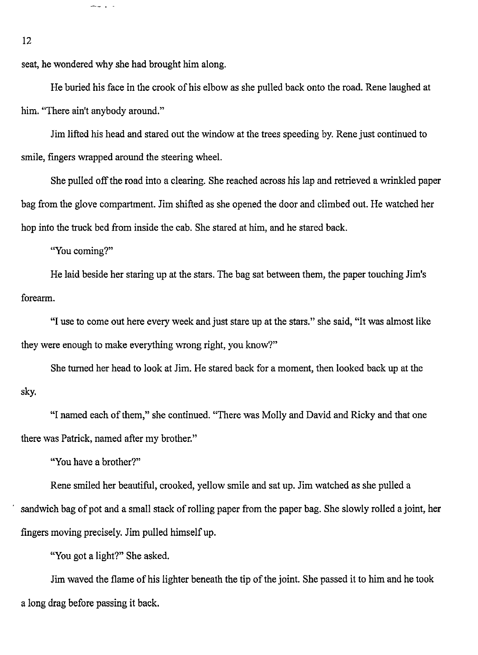seat, he wondered why she had brought him along.

 $-1$ 

He buried his face in the crook of his elbow as she pulled back onto the road. Rene laughed at him. "There ain't anybody around."

Jim lifted his head and stared out the window at the trees speeding by. Rene just continued to smile, fingers wrapped around the steering wheel.

She pulled off the road into a clearing. She reached across his lap and retrieved a wrinkled paper bag from the glove compartment. Jim shifted as she opened the door and climbed out. He watched her hop into the truck bed from inside the cab. She stared at him, and he stared back.

"You coming?"

He laid beside her staring up at the stars. The bag sat between them, the paper touching Jim's forearm.

"I use to come out here every week and just stare up at the stars." she said, "It was almost like they were enough to make everything wrong right, you know?"

She turned her head to look at Jim. He stared back for a moment, then looked back up at the sky.

"I named each of them," she continued. "There was Molly and David and Ricky and that one there was Patrick, named after my brother."

"You have a brother?"

Rene smiled her beautiful, crooked, yellow smile and sat up. Jim watched as she pulled a sandwich bag of pot and a small stack of rolling paper from the paper bag. She slowly rolled a joint, her fingers moving precisely. Jim pulled himself up.

"You got a light?" She asked.

Jim waved the flame of his lighter beneath the tip of the joint. She passed it to him and he took a long drag before passing it back.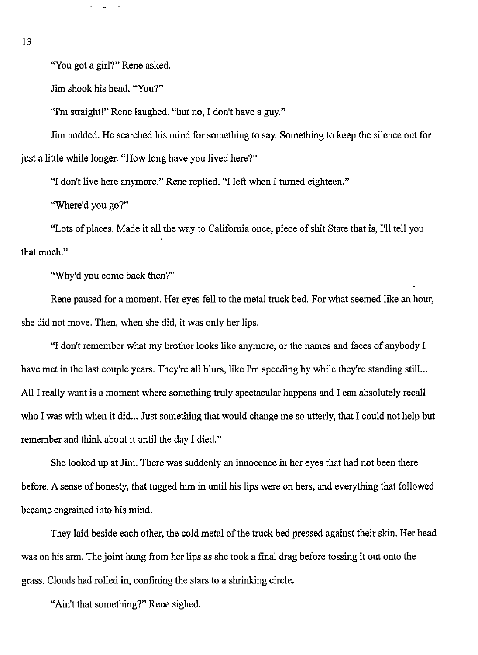13

"You got a girl?" Rene asked.

Jim shook his head. "You?"

"I'm straight!" Rene laughed. "but no, I don't have a guy."

Jim nodded. He searched his mind for something to say. Something to keep the silence out for just a little while longer. "How long have you lived here?"

"I don't live here anymore," Rene replied. "I left when I turned eighteen."

"Where'd you go?"

"Lots of places. Made it all the way to California once, piece of shit State that is, I'll tell you that much."

"Why'd you come back then?"

Rene paused for a moment. Her eyes fell to the metal truck bed. For what seemed like an hour, she did not move. Then, when she did, it was only her lips.

"I don't remember what my brother looks like anymore, or the names and faces of anybody I have met in the last couple years. They're all blurs, like I'm speeding by while they're standing still... All I really want is a moment where something truly spectacular happens and I can absolutely recall who I was with when it did... Just something that would change me so utterly, that I could not help but remember and think about it until the day I died."

She looked up at Jim. There was suddenly an innocence in her eyes that had not been there before. A sense of honesty, that tugged him in until his lips were on hers, and everything that followed became engrained into his mind.

They laid beside each other, the cold metal of the truck bed pressed against their skin. Her head was on his arm. The joint hung from her lips as she took a final drag before tossing it out onto the grass. Clouds had rolled in, confining the stars to a shrinking circle.

"Ain't that something?" Rene sighed.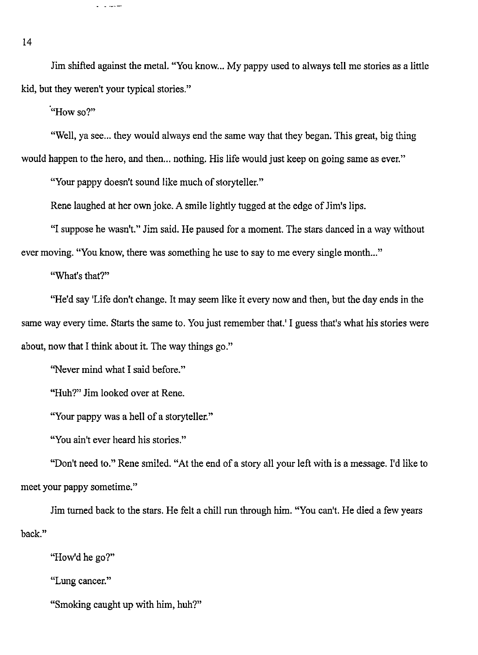Jim shifted against the metal. "You know... My pappy used to always tell me stories as a little kid, but they weren't your typical stories."

**"How** so?"

سامون الوارا

"Well, va see... they would always end the same way that they began. This great, big thing would happen to the hero, and then ... nothing. His life would just keep on going same as ever."

"Your pappy doesn't sound like much of storyteller."

Rene laughed at her own joke. A smile lightly tugged at the edge of Jim's lips.

"I suppose he wasn't." Jim said. He paused for a moment. The stars danced in a way without

ever moving. "You know, there was something he use to say to me every single month..."

"What's that?"

"He'd say 'Life don't change. It may seem like it every now and then, but the day ends in the same way every time. Starts the same to. You just remember that.' I guess that's what his stories were about, now that I think about it. The way things go."

"Never mind what I said before."

"Huh?" Jim looked over at Rene.

"Your pappy was a hell of a storyteller."

"You ain't ever heard his stories."

"Don't need to." Rene smiled. "At the end of a story all your left with is a message. I'd like to meet your pappy sometime."

back." Jim turned back to the stars. He felt a chill run through him. "You can't. He died a few years

"How'd he go?"

"Lung cancer."

"Smoking caught up with him, huh?"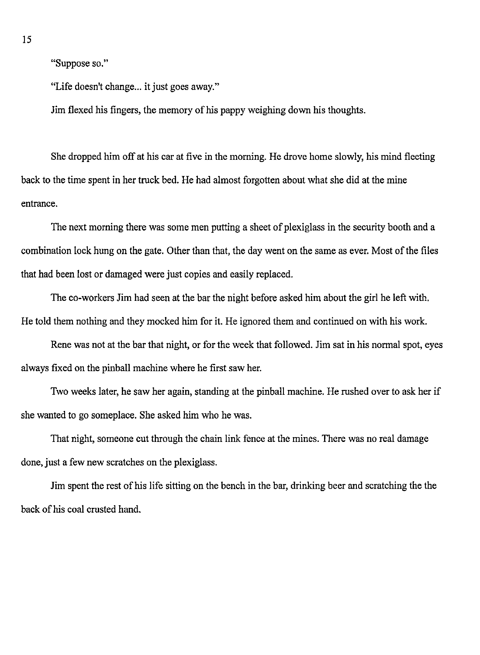"Suppose so."

"Life doesn't change... it just goes away."

Jim flexed his fingers, the memory of his pappy weighing down his thoughts.

She dropped him off at his car at five in the morning. He drove home slowly, his mind fleeting back to the time spent in her truck bed. He had almost forgotten about what she did at the mine entrance.

The next morning there was some men putting a sheet of plexiglass in the security booth and a combination lock hung on the gate. Other than that, the day went on the same as ever. Most of the files that had been lost or damaged were just copies and easily replaced.

The co-workers Jim had seen at the bar the night before asked him about the girl he left with. He told them nothing and they mocked him for it. He ignored them and continued on with his work.

Rene was not at the bar that night, or for the week that followed. Jim sat in his normal spot, eyes always fixed on the pinball machine where he first saw her.

Two weeks later, he saw her again, standing at the pinball machine. He rushed over to ask her if she wanted to go someplace. She asked him who he was.

That night, someone cut through the chain link fence at the mines. There was no real damage done, just a few new scratches on the plexiglass.

Jim spent the rest of his life sitting on the bench in the bar, drinking beer and scratching the the back of his coal crusted hand.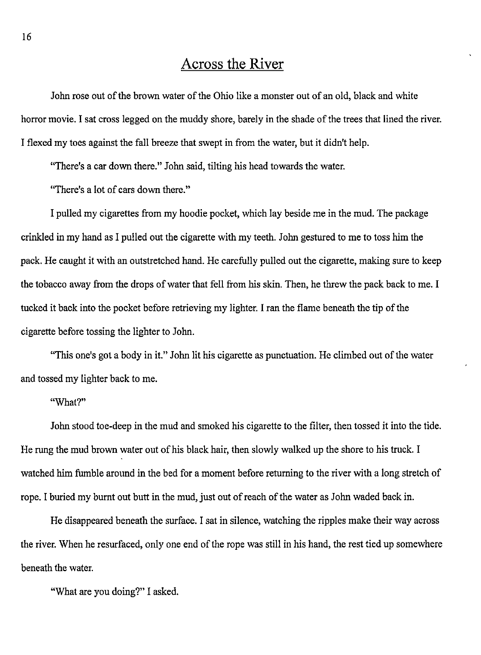#### **Across the River**

John rose out of the brown water of the Ohio like a monster out of an old, black and white horror movie. I sat cross legged on the muddy shore, barely in the shade of the trees that lined the river. I flexed my toes against the fall breeze that swept in from the water, but it didn't help.

"There's a car down there." John said, tilting his head towards the water.

"There's a Jot of cars down there."

I pulled my cigarettes from my hoodie pocket, which Jay beside me in the mud. The package crinkled in my hand as I pulled out the cigarette with my teeth. John gestured to me to toss him the pack. He caught it with an outstretched hand. He carefully pulled out the cigarette, making sure to keep the tobacco away from the drops of water that fell from his skin. Then, he threw the pack back to me. I tucked it back into the pocket before retrieving my lighter. I ran the flame beneath the tip of the cigarette before tossing the lighter to John.

"This one's got a body in it." John lit his cigarette as punctuation. He climbed out of the water and tossed my lighter back to me.

#### **"What?"**

John stood toe-deep in the mud and smoked his cigarette to the filter, then tossed it into the tide. He rung the mud brown water out of his black hair, then slowly walked up the shore to his truck. I watched him fumble around in the bed for a moment before returning to the river with a Jong stretch of rope. I buried my burnt out butt in the mud, just out of reach of the water as John waded back in.

He disappeared beneath the surface. I sat in silence, watching the ripples make their way across the river. When he resurfaced, only one end of the rope was still in his hand, the rest tied up somewhere beneath the water.

"What are you doing?" I asked.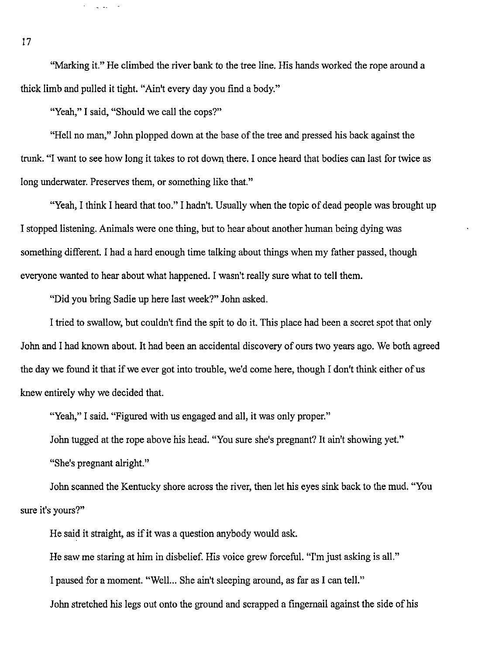"Marking it." He climbed the river bank to the tree line. His hands worked the rope around a thick limb and pulled it tight. "Ain't every day you find a body."

"Yeah," I said, "Should we call the cops?"

 $\Delta \sim 10^{-10}$  m  $^{-1}$ 

"Hell no man," John plopped down at the base of the tree and pressed his back against the trunk. "I want to see how long it takes to rot down there. I once heard that bodies can last for twice as long underwater. Preserves them, or something like that."

"Yeah, I think I heard that too." I hadn't. Usually when the topic of dead people was brought up I stopped listening. Animals were one thing, but to hear about another human being dying was something different. I had a hard enough time talking about things when my father passed, though everyone wanted to hear about what happened. I wasn't really sure what to tell them.

"Did you bring Sadie up here last week?" John asked.

I tried to swallow, but couldn't find the spit to do it. This place had been a secret spot that only John and I had known about. It had been an accidental discovery of ours two years ago. We both agreed the day we found it that if we ever got into trouble, we'd come here, though I don't think either of us knew entirely why we decided that.

"Yeah," I said. "Figured with us engaged and all, it was only proper."

John tugged at the rope above his head. "You sure she's pregnant? It ain't showing yet."

"She's pregnant alright."

John scanned the Kentucky shore across the river, then let his eyes sink back to the mud. "You sure it's yours?"

He said it straight, as if it was a question anybody would ask.

He saw me staring at him in disbelief. His voice grew forceful. "I'm just asking is all."

I paused for a moment. "Well... She ain't sleeping around, as far as I can tell."

John stretched his legs out onto the ground and scrapped a fingernail against the side of his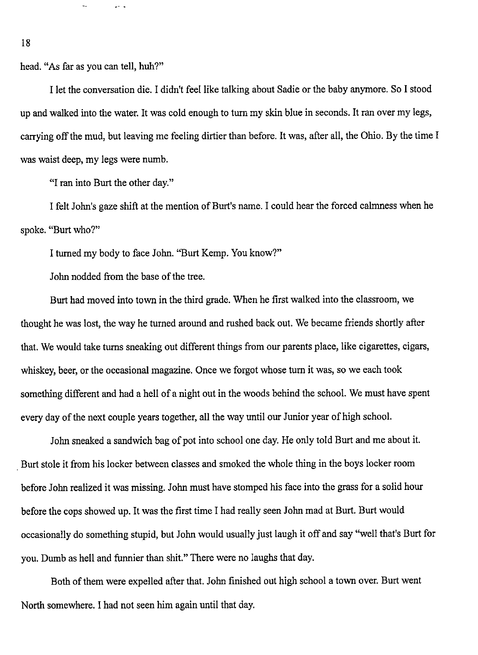head. "As far as you can tell, huh?"

L.

 $2 - 1$ 

I let the conversation die. I didn't feel like talking about Sadie or the baby anymore. So I stood up and walked into the water. It was cold enough to turn my skin blue in seconds. It ran over my legs, carrying off the mud, but leaving me feeling dirtier than before. It was, after all, the Ohio. By the time I was waist deep, my legs were numb.

"I ran into Burt the other day."

I felt John's gaze shift at the mention of Burt's name. I could hear the forced calmness when he spoke. "Burt who?"

I turned my body to face John. "Burt Kemp. You know?"

John nodded from the base of the tree.

Burt had moved into town in the third grade. When he first walked into the classroom, we thought he was lost, the way he turned around and rushed back out. We became friends shortly after that. We would take turns sneaking out different things from our parents place, like cigarettes, cigars, whiskey, beer, or the occasional magazine. Once we forgot whose tum it was, so we each took something different and had a hell of a night out in the woods behind the school. We must have spent every day of the next couple years together, all the way until our Junior year of high school.

John sneaked a sandwich bag of pot into school one day. He only told Burt and me about it. . Burt stole it from his locker between classes and smoked the whole thing in the boys locker room before John realized it was missing. John must have stomped his face into the grass for a solid hour before the cops showed up. It was the first time I had really seen John mad at Burt. Burt would occasionally do something stupid, but John would usually just laugh it off and say "well that's Burt for you. Dumb as hell and funnier than shit." There were no laughs that day.

Both of them were expelled after that. John finished out high school a town over. Burt went North somewhere. I had not seen him again until that day.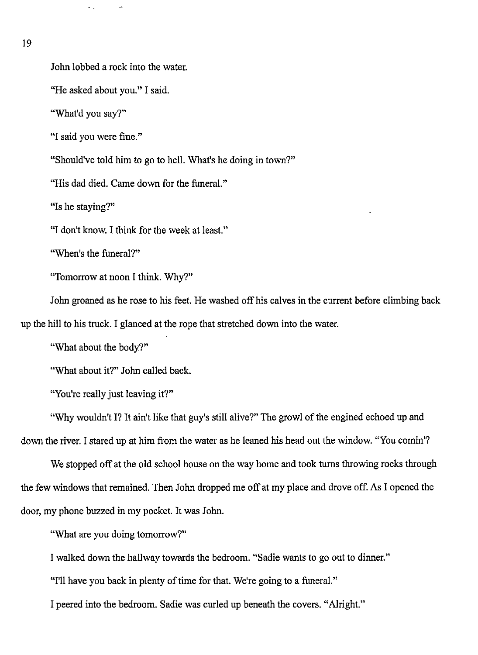19

John lobbed a rock into the water.

"He asked about you." I said.

"What'd you say?"

"I said you were fine."

"Should've told him to go to hell. What's he doing in town?"

"His dad died. Came down for the funeral."

"Is he staying?"

"I don't know. I think for the week at least."

"When's the funeral?"

"Tomorrow at noon I think. Why?"

John groaned as he rose to his feet. He washed off his calves in the current before climbing back up the hill to his truck. I glanced at the rope that stretched down into the water.

"What about the body?"

"What about it?" John called back.

"You're really just leaving it?"

"Why wouldn't I? It ain't like that guy's still alive?" The growl of the engined echoed up and down the river. I stared up at him from the water as he leaned his head out the window. "You comin'?

We stopped off at the old school house on the way home and took turns throwing rocks through the few windows that remained. Then John dropped me off at my place and drove off. As I opened the door, my phone buzzed in my pocket. It was John.

"What are you doing tomorrow?"

I walked down the hallway towards the bedroom. "Sadie wants to go out to dinner."

"I'll have you back in plenty of time for that. We're going to a funeral."

I peered into the bedroom. Sadie was curled up beneath the covers. "Alright."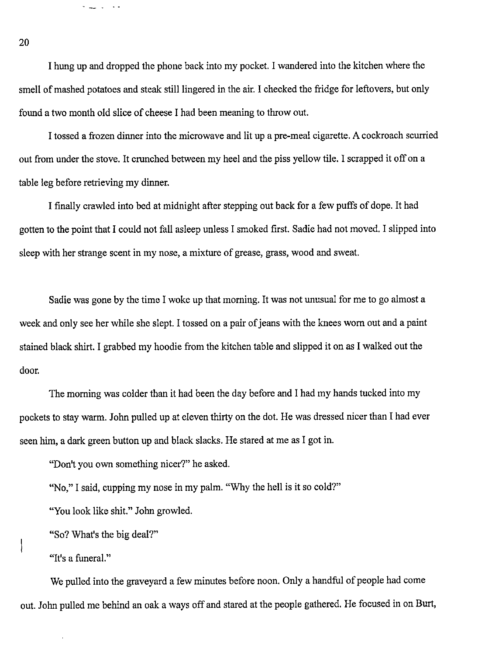I hung up and dropped the phone back into my pocket. I wandered into the kitchen where the smell of mashed potatoes and steak still lingered in the air. I checked the fridge for leftovers, but only found a two month old slice of cheese I had been meaning to throw out.

I tossed a frozen dinner into the microwave and lit up a pre-meal cigarette. A cockroach scurried out from under the stove. It crunched between my heel and the piss yellow tile. I scrapped it off on a table leg before retrieving my dinner.

I finally crawled into bed at midnight after stepping out back for a few puffs of dope. It had gotten to the point that I could not fall asleep unless I smoked first. Sadie had not moved. I slipped into sleep with her strange scent in my nose, a mixture of grease, grass, wood and sweat.

Sadie was gone by the time I woke up that morning. It was not unusual for me to go almost a week and only see her while she slept. I tossed on a pair of jeans with the knees worn out and a paint stained black shirt. I grabbed my hoodie from the kitchen table and slipped it on as I walked out the door.

The morning was colder than it had been the day before and I had my hands tucked into my pockets to stay warm. John pulled up at eleven thirty on the dot. He was dressed nicer than I had ever seen him, a dark green button up and black slacks. He stared at me as I got in.

"Don't you own something nicer?" he asked.

"No," I said, cupping my nose in my palm. "Why the hell is it so cold?"

"You look like shit." John growled.

"So? What's the big deal?"

"It's a funeral."

We pulled into the graveyard a few minutes before noon. Only a handful of people had come out. John pulled me behind an oak a ways off and stared at the people gathered. He focused in on Burt,

20

a <u>al</u> la sia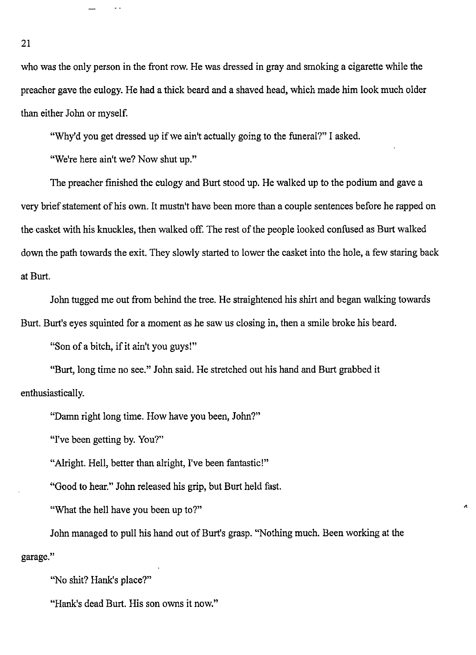who was the only person in the front row. He was dressed in gray and smoking a cigarette while the preacher gave the eulogy. He had a thick beard and a shaved head, which made him look much older than either John or myself.

"Why'd you get dressed up if we ain't actually going to the funeral?" I asked.

"We're here ain't we? Now shut up."

The preacher finished the eulogy and Burt stood up. He walked up to the podium and gave a very brief statement of his own. It mustn't have been more than a couple sentences before he rapped on the casket with his knuckles, then walked off. The rest of the people looked confused as Burt walked down the path towards the exit. They slowly started to lower the casket into the hole, a few staring back at Burt.

John tugged me out from behind the tree. He straightened his shirt and began walking towards Burt. Burt's eyes squinted for a moment as he saw us closing in, then a smile broke his beard.

"Son of a bitch, if it ain't you guys!"

"Burt, long time no see." John said. He stretched out his hand and Burt grabbed it enthusiastically.

"Damn right long time. How have you been, John?"

"I've been getting by. You?"

"Alright. Hell, better than alright, I've been fantastic!"

"Good to hear." John released his grip, but Burt held fast.

"What the hell have you been up to?"

John managed to pull his hand out of Burt's grasp. "Nothing much. Been working at the garage."

"No shit? Hank's place?"

"Hank's dead Burt. His son owns it now."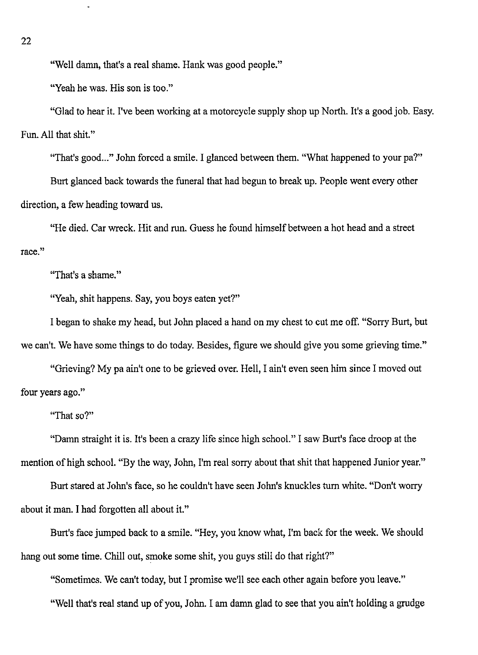"Well damn, that's a real shame. Hank was good people."

"Yeah he was. His son is too."

"Glad to hear it. I've been working at a motorcycle supply shop up North. It's a good job. Easy. Fun. All that shit."

"That's good..." John forced a smile. I glanced between them. "What happened to your pa?"

Burt glanced back towards the funeral that had begun to break up. People went every other direction, a few heading toward us.

"He died. Car wreck. Hit and run. Guess he found himself between a hot head and a street **race."** 

"That's a shame."

"Yeah, shit happens. Say, you boys eaten yet?"

I began to shake my head, but John placed a hand on my chest to cut me off. "Sorry Burt, but we can't. We have some things to do today. Besides, figure we should give you some grieving time."

"Grieving? My pa ain't one to be grieved over. Hell, I ain't even seen him since I moved out four years ago."

"That so?"

"Damn straight it is. It's been a crazy life since high school." I saw Burt's face droop at the mention of high school. "By the way, John, I'm real sorry about that shit that happened Junior year."

Burt stared at John's face, so he couldn't have seen John's knuckles tum white. "Don't worry about it man. I had forgotten all about it."

Burt's face jumped back to a smile. "Hey, you know what, I'm back for the week. We should hang out some time. Chill out, smoke some shit, you guys still do that right?"

"Sometimes. We can't today, but I promise we'll see each other again before you leave." "Well that's real stand up of you, John. I am damn glad to see that you ain't holding a grudge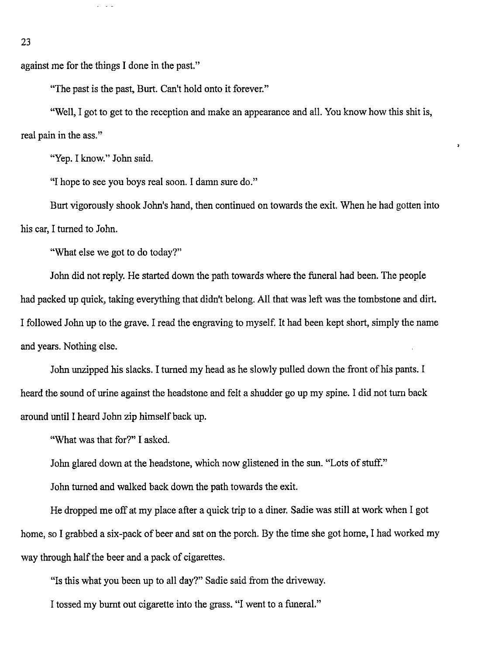against me for the things I done in the past."

 $\omega_{\rm{max}}$ 

"The past is the past, Burt. Can't hold onto it forever."

"Well, I got to get to the reception and make an appearance and all. You know how this shit is, real pain in the ass."

 $\lambda$ 

"Yep. I know." John said.

"I hope to see you boys real soon. I damn sure do."

Burt vigorously shook John's hand, then continued on towards the exit. When he had gotten into his car, I turned to John.

"What else we got to do today?"

John did not reply. He started down the path towards where the funeral had been. The people had packed up quick, taking everything that didn't belong. All that was left was the tombstone and dirt. I followed John up to the grave. I read the engraving to myself. It had been kept short, simply the name and years. Nothing else.

John unzipped his slacks. I turned my head as he slowly pulled down the front of his pants. I heard the sound of urine against the headstone and felt a shudder go up my spine. I did not turn back around until I heard John zip himself back up.

"What was that for?" I asked.

John glared down at the headstone, which now glistened in the sun. "Lots of stuff."

John turned and walked back down the path towards the exit.

He dropped me off at my place after a quick trip to a diner. Sadie was still at work when I got home, so I grabbed a six-pack of beer and sat on the porch. By the time she got home, I had worked my way through half the beer and a pack of cigarettes.

"Is this what you been up to all day?" Sadie said from the driveway.

I tossed my burnt out cigarette into the grass. "I went to a funeral."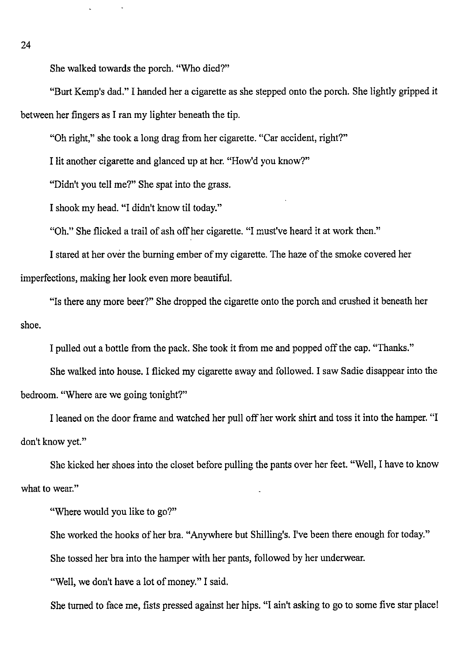She walked towards the porch. "Who died?"

"Burt Kemp's dad." I handed her a cigarette as she stepped onto the porch. She lightly gripped it between her fingers as I ran my lighter beneath the tip.

"Oh right," she took a long drag from her cigarette. "Car accident, right?"

I lit another cigarette and glanced up at her. "How'd you know?"

"Didn't you tell me?" She spat into the grass.

I shook my head. "I didn't know til today."

"Oh." She flicked a trail of ash off her cigarette. "I must've heard it at work then."

I stared at her over the burning ember of my cigarette. The haze of the smoke covered her imperfections, making her look even more beautiful.

"Is there any more beer?" She dropped the cigarette onto the porch and crushed it beneath her shoe.

I pulled out a bottle from the pack. She took it from me and popped off the cap. "Thanks."

She walked into house. I flicked my cigarette away and followed. I saw Sadie disappear into the bedroom. "Where are we going tonight?"

I leaned on the door frame and watched her pull off her work shirt and toss it into the hamper. "I don't know yet."

She kicked her shoes into the closet before pulling the pants over her feet. "Well, I have to know what to wear."

"Where would you like to go?"

She worked the hooks of her bra. "Anywhere but Shilling's. I've been there enough for today."

She tossed her bra into the hamper with her pants, followed by her underwear.

"Well, we don't have a lot of money." I said.

She turned to face me, fists pressed against her hips. "I ain't asking to go to some five star place!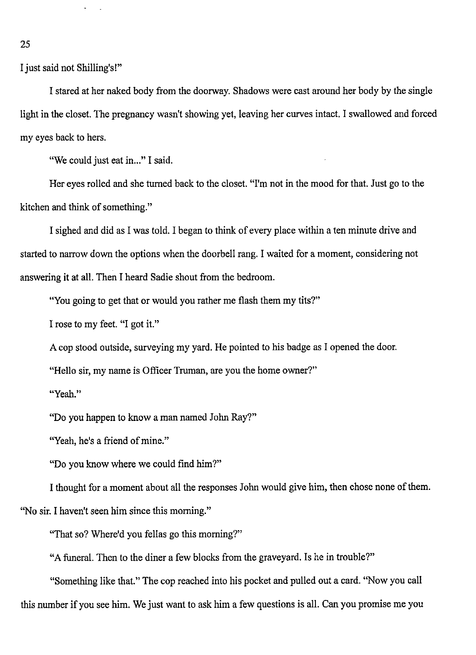I just said not Shilling's!"

I stared at her naked body from the doorway. Shadows were cast around her body by the single light in the closet. The pregnancy wasn't showing yet, leaving her curves intact. I swallowed and forced my eyes back to hers.

"We could just eat in..." I said.

Her eyes rolled and she turned back to the closet. "I'm not in the mood for that. Just go to the kitchen and think of something."

I sighed and did as I was told. I began to think of every place within a ten minute drive and started to narrow down the options when the doorbell rang. I waited for a moment, considering not answering it at all. Then I heard Sadie shout from the bedroom.

"You going to get that or would you rather me flash them my tits?"

I rose to my feet. "I got it."

A cop stood outside, surveying my yard. He pointed to his badge as I opened the door.

"Hello sir, my name is Officer Truman, are you the home owner?"

**"Yeah."** 

"Do you happen to know a man named John Ray?"

"Yeah, he's a friend of mine."

"Do you know where we could find him?"

I thought for a moment about all the responses John would give him, then chose none of them.

"No sir. I haven't seen him since this morning."

"That so? Where'd you fellas go this morning?"

"A funeral. Then to the diner a few blocks from the graveyard. Is he in trouble?"

"Something like that." The cop reached into his pocket and pulled out a card. "Now you call this number if you see him. We just want to ask him a few questions is all. Can you promise me you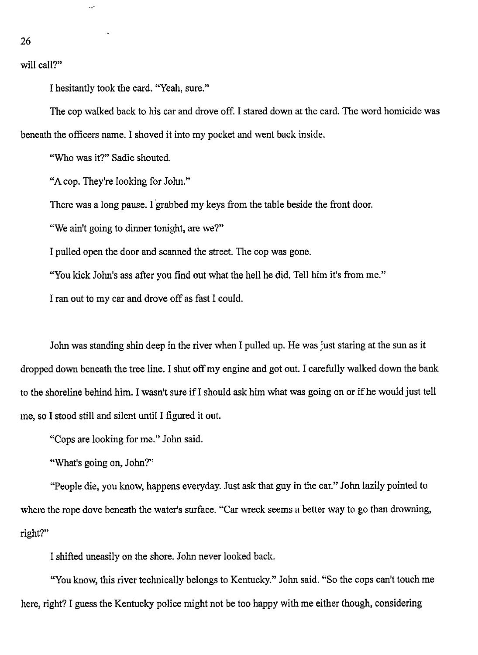will call?"

26

I hesitantly took the card. "Yeah, sure."

The cop walked back to his car and drove off. I stared down at the card. The word homicide was beneath the officers name. I shoved it into my pocket and went back inside.

"Who was it?" Sadie shouted.

"A cop. They're looking for John."

There was a long pause. I grabbed my keys from the table beside the front door.

"We ain't going to dinner tonight, are we?"

I pulled open the door and scanned the street. The cop was gone.

"You kick John's ass after you find out what the hell he did. Tell him it's from me."

I ran out to my car and drove off as fast I could.

John was standing shin deep in the river when I pulled up. He was just staring at the sun as it dropped down beneath the tree line. I shut off my engine and got out. I carefully walked down the bank to the shoreline behind him. I wasn't sure if I should ask him what was going on or if he would just tell me, so I stood still and silent until I figured it out.

"Cops are looking for me." John said.

"What's going on, John?"

"People die, you know, happens everyday. Just ask that guy in the car." John lazily pointed to where the rope dove beneath the water's surface. "Car wreck seems a better way to go than drowning, right?"

I shifted uneasily on the shore. John never looked back.

"You know, this river technically belongs to Kentucky." John said. "So the cops can't touch me here, right? I guess the Kentucky police might not be too happy with me either though, considering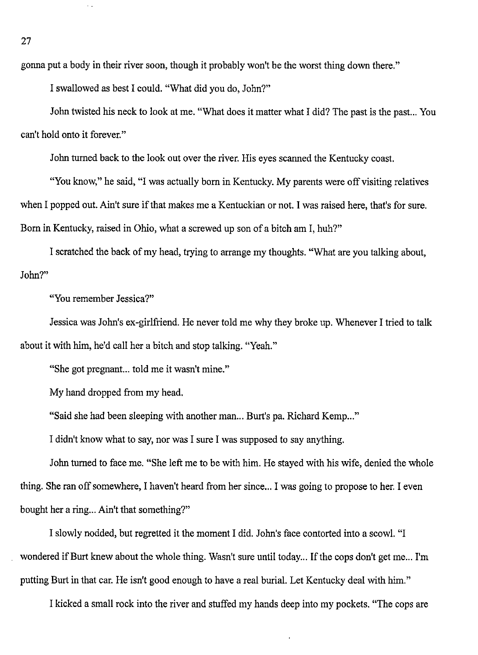gonna put a body in their river soon, though it probably won't be the worst thing down there."

I swallowed as best I could. "What did you do, John?"

John twisted his neck to look at me. "What does it matter what I did? The past is the past... You can't hold onto it forever."

John turned back to the look out over the river. His eyes scanned the Kentucky coast.

"You know," he said, "I was actually born in Kentucky. My parents were off visiting relatives when I popped out. Ain't sure if that makes me a Kentuckian or not. I was raised here, that's for sure. Born in Kentucky, raised in Ohio, what a screwed up son of a bitch am I, huh?"

I scratched the back of my head, trying to arrange my thoughts. "What are you talking about, John?"

"You remember Jessica?"

Jessica was John's ex-girlfriend. He never told me why they broke up. Whenever I tried to talk about it with him, he'd call her a bitch and stop talking. "Yeah."

"She got pregnant... told me it wasn't mine."

My hand dropped from my head.

"Said she had been sleeping with another man... Burt's pa. Richard Kemp..."

I didn't know what to say, nor was I sure I was supposed to say anything.

John turned to face me. "She left me to be with him. He stayed with his wife, denied the whole thing. She ran off somewhere, I haven't heard from her since... I was going to propose to her. I even bought her a ring... Ain't that something?"

I slowly nodded, but regretted it the moment I did. John's face contorted into a scowl. "I wondered if Burt knew about the whole thing. Wasn't sure until today... If the cops don't get me... I'm putting Burt in that car. He isn't good enough to have a real burial. Let Kentucky deal with him."

I kicked a small rock into the river and stuffed my hands deep into my pockets. "The cops are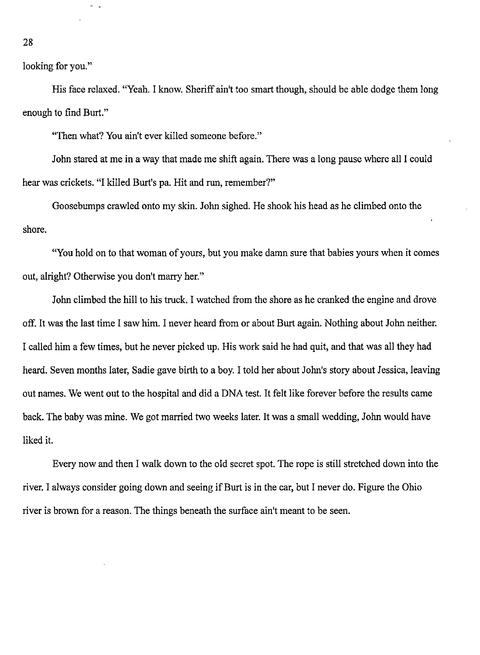looking for you."

His face relaxed. "Yeah. I know. Sheriff ain't too smart though, should be able dodge them long enough to find Burt."

"Then what? You ain't ever killed someone before."

John stared at me in a way that made me shift again. There was a long pause where all I could hear was crickets. "I killed Burt's pa. Hit and run, remember?"

Goosebumps crawled onto my skin. John sighed. He shook his head as he climbed onto the shore.

"You hold on to that woman of yours, but you make damn sure that babies yours when it comes out, alright? Otherwise you don't marry her."

John climbed the hill to his truck. I watched from the shore as he cranked the engine and drove off. It was the last time I saw him. I never heard from or about Burt again. Nothing about John neither. I called him a few times, but he never picked up. His work said he had quit, and that was all they had heard. Seven months later, Sadie gave birth to a boy. I told her about John's story about Jessica, leaving out names. We went out to the hospital and did a DNA test. It felt like forever before the results came back. The baby was mine. We got married two weeks later. It was a small wedding, John would have liked it.

Every now and then I walk down to the old secret spot. The rope is still stretched down into the river. I always consider going down and seeing if Burt is in the car, but I never do. Figure the Ohio river is brown for a reason. The things beneath the surface ain't meant to be seen.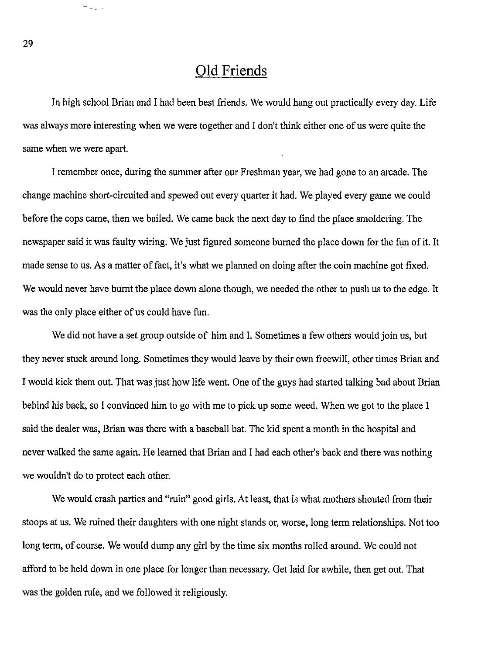#### **Old Friends**

In high school Brian and I had been best friends. We would hang out practically every day. Life was always more interesting when we were together and I don't think either one of us were quite the same when we were apart.

I remember once, during the summer after our Freshman year, we had gone to an arcade. The change machine short-circuited and spewed out every quarter it had. We played every game we could before the cops came, then we bailed. We came back the next day to find the place smoldering. The newspaper said it was faulty wiring. We just figured someone burned the place down for the fun of it. It made sense to us. As a matter of fact, it's what we planned on doing after the coin machine got fixed. We would never have burnt the place down alone though, we needed the other to push us to the edge. It was the only place either of us could have fun.

We did not have a set group outside of him and I. Sometimes a few others would join us, but they never stuck around long. Sometimes they would leave by their own freewill, other times Brian and I would kick them out. That was just how life went. One of the guys had started talking bad about Brian behind his back, so I convinced him to go with me to pick up some weed. When we got to the place I said the dealer was, Brian was there with a baseball bat. The kid spent a month in the hospital and never walked the same again. He learned that Brian and I had each other's back and there was nothing we wouldn't do to protect each other.

We would crash parties and "ruin" good girls. At least, that is what mothers shouted from their stoops at us. We ruined their daughters with one night stands or, worse, long term relationships. Not too long term, of course. We would dump any girl by the time six months rolled around. We could not afford to be held down in one place for longer than necessary. Get laid for awhile, then get out. That was the golden rule, and we followed it religiously.

 $\sim$   $\sim$   $\sim$   $\sim$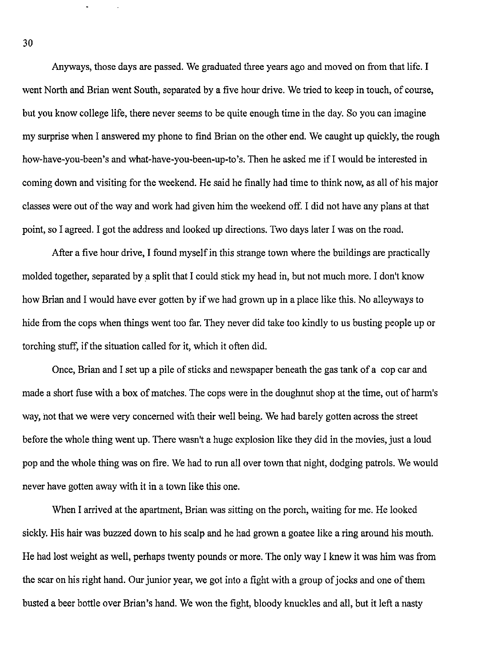Anyways, those days are passed. We graduated three years ago and moved on from that life. I went North and Brian went South, separated by a five hour drive. We tried to keep in touch, of course, but you know college life, there never seems to be quite enough time in the day. So you can imagine my surprise when I answered my phone to find Brian on the other end. We caught up quickly, the rough how-have-you-been's and what-have-you-been-up-to's. Then he asked me if I would be interested in coming down and visiting for the weekend. He said he finally had time to think now, as all of his major classes were out of the way and work had given him the weekend off. I did not have any plans at that point, so I agreed. I got the address and looked up directions. Two days later I was on the road.

After a five hour drive, I found myself in this strange town where the buildings are practically molded together, separated by a split that I could stick my head in, but not much more. I don't know how Brian and I would have ever gotten by if we had grown up in a place like this. No alleyways to hide from the cops when things went too far. They never did take too kindly to us busting people up or torching stuff, if the situation called for it, which it often did.

Once, Brian and I set up a pile of sticks and newspaper beneath the gas tank of a cop car and made a short fuse with a box of matches. The cops were in the doughnut shop at the time, out of harm's way, not that we were very concerned with their well being. We had barely gotten across the street before the whole thing went up. There wasn't a huge explosion like they did in the movies, just a loud pop and the whole thing was on fire. We had to run all over town that night, dodging patrols. We would never have gotten away with it in a town like this one.

When I arrived at the apartment, Brian was sitting on the porch, waiting for me. He looked sickly. His hair was buzzed down to his scalp and he had grown a goatee like a ring around his mouth. He had lost weight as well, perhaps twenty pounds or more. The only way I knew it was him was from the scar on his right hand. Our junior year, we got into a fight with a group of jocks and one of them busted a beer bottle over Brian's hand. We won the fight, bloody knuckles and all, but it left a nasty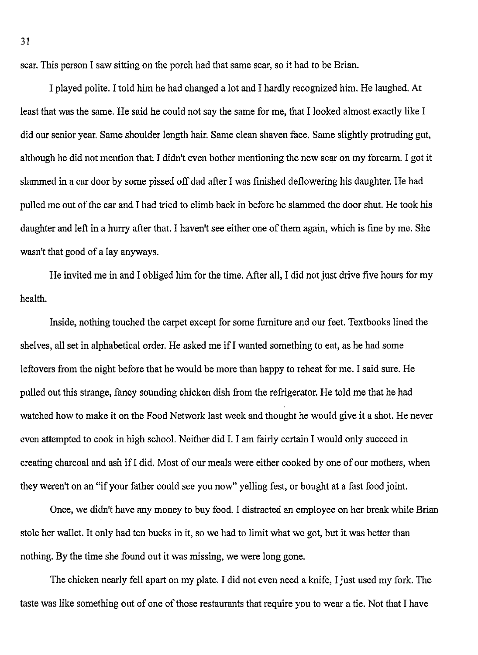scar. This person I saw sitting on the porch had that same scar, so it had to be Brian.

I played polite. I told him he had changed a lot and I hardly recognized him. He laughed. At least that was the same. He said he could not say the same for me, that I looked almost exactly like I did our senior year. Same shoulder length hair. Same clean shaven face. Same slightly protruding gut, although he did not mention that. I didn't even bother mentioning the new scar on my forearm. I got it slammed in a car door by some pissed off dad after I was finished deflowering his daughter. He had pulled me out of the car and I had tried to climb back in before he slammed the door shut. He took his daughter and left in a hurry after that. I haven't see either one of them again, which is fine by me. She wasn't that good of a lay anyways.

He invited me in and I obliged him for the time. After all, I did not just drive five hours for my health.

Inside, nothing touched the carpet except for some furniture and our feet. Textbooks lined the shelves, all set in alphabetical order. He asked me if I wanted something to eat, as he had some leftovers from the night before that he would be more than happy to reheat for me. I said sure. He pulled out this strange, fancy sounding chicken dish from the refrigerator. He told me that he had watched how to make it on the Food Network last week and thought he would give it a shot. He never even attempted to cook in high school. Neither did I. I am fairly certain I would only succeed in creating charcoal and ash if I did. Most of our meals were either cooked by one of our mothers, when they weren't on an "if your father could see you now" yelling fest, or bought at a fast food joint.

Once, we didn't have any money to buy food. I distracted an employee on her break while Brian stole her wallet. It only had ten bucks in it, so we had to limit what we got, but it was better than nothing. By the time she found out it was missing, we were long gone.

The chicken nearly fell apart on my plate. I did not even need a knife, I just used my fork. The taste was like something out of one of those restaurants that require you to wear a tie. Not that I have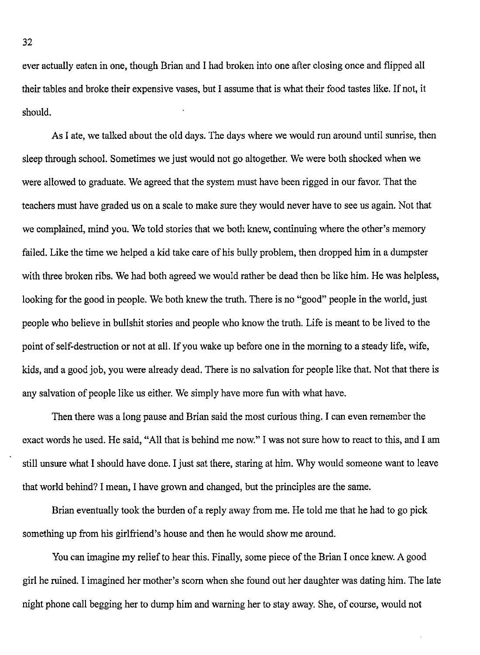ever actually eaten in one, though Brian and I had broken into one after closing once and flipped all their tables and broke their expensive vases, but I assume that is what their food tastes like. If not, it should.

As I ate, we talked about the old days. The days where we would run around until sunrise, then sleep through school. Sometimes we just would not go altogether. We were both shocked when we were allowed to graduate. We agreed that the system must have been rigged in our favor. That the teachers must have graded us on a scale to make sure they would never have to see us again. Not that we complained, mind you. We told stories that we both knew, continuing where the other's memory failed. Like the time we helped a kid take care of his bully problem, then dropped him in a dumpster with three broken ribs. We had both agreed we would rather be dead then be like him. He was helpless, looking for the good in people. We both knew the truth. There is no "good" people in the world, just people who believe in bullshit stories and people who know the truth. Life is meant to be lived to the point of self-destruction or not at all. If you wake up before one in the morning to a steady life, wife, kids, and a good job, you were already dead. There is no salvation for people like that. Not that there is any salvation of people like us either. We simply have more fun with what have.

Then there was a long pause and Brian said the most curious thing. I can even remember the exact words he used. He said, "All that is behind me now." I was not sure how to react to this, and I am still unsure what I should have done. I just sat there, staring at him. Why would someone want to leave that world behind? I mean, I have grown and changed, but the principles are the same.

Brian eventually took the burden of a reply away from me. He told me that he had to go pick something up from his girlfriend's house and then he would show me around.

You can imagine my relief to hear this. Finally, some piece of the Brian I once knew. A good girl he ruined. I imagined her mother's scorn when she found out her daughter was dating him. The late night phone call begging her to dump him and warning her to stay away. She, of course, would not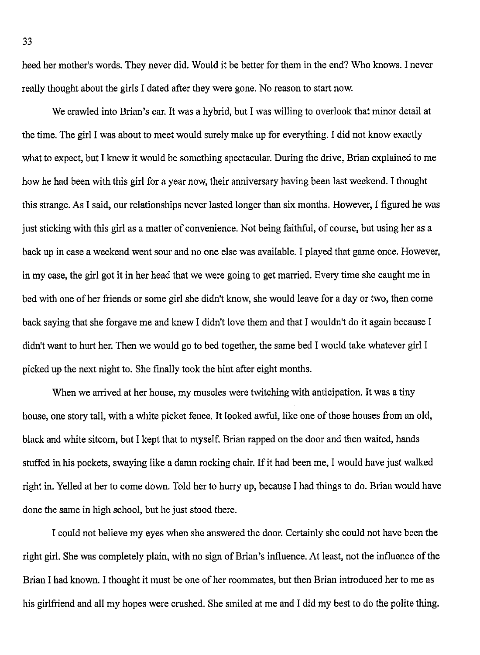heed her mother's words. They never did. Would it be better for them in the end? Who knows. I never really thought about the girls I dated after they were gone. No reason to start now.

We crawled into Brian's car. It was a hybrid, but I was willing to overlook that minor detail at the time. The girl I was about to meet would surely make up for everything. I did not know exactly what to expect, but I knew it would be something spectacular. During the drive, Brian explained to me how he had been with this girl for a year now, their anniversary having been last weekend. I thought this strange. As I said, our relationships never lasted longer than six months. However, I figured he was just sticking with this girl as a matter of convenience. Not being faithful, of course, but using her as a back up in case a weekend went sour and no one else was available. I played that game once. However, in my case, the girl got it in her head that we were going to get married. Every time she caught me in bed with one of her friends or some girl she didn't know, she would leave for a day or two, then come back saying that she forgave me and knew I didn't love them and that I wouldn't do it again because I didn't want to hurt her. Then we would go to bed together, the same bed I would take whatever girl I picked up the next night to. She finally took the hint after eight months.

When we arrived at her house, my muscles were twitching with anticipation. It was a tiny house, one story tall, with a white picket fence. It looked awful, like one of those houses from an old, black and white sitcom, but I kept that to myself. Brian rapped on the door and then waited, hands stuffed in his pockets, swaying like a damn rocking chair. If it had been me, I would have just walked right in. Yelled at her to come down. Told her to hurry up, because I had things to do. Brian would have done the same in high school, but he just stood there.

I could not believe my eyes when she answered the door. Certainly she could not have been the right girl. She was completely plain, with no sign of Brian's influence. At least, not the influence of the Brian I had known. I thought it must be one of her roommates, but then Brian introduced her to me as his girlfriend and all my hopes were crushed. She smiled at me and I did my best to do the polite thing.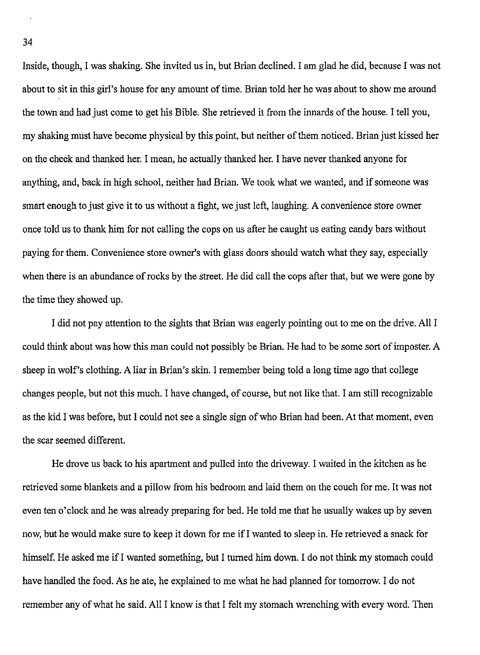Inside, though, I was shaking. She invited us in, but Brian declined. I am glad he did, because I was not about to sit in this girl's house for any amount of time. Brian told her he was about to show me around the town and had just come to get his Bible. She retrieved it from the innards of the house. I tell you, my shaking must have become physical by this point, but neither of them noticed. Brian just kissed her on the cheek and thanked her. I mean, he actually thanked her. I have never thanked anyone for anything, and, back in high school, neither had Brian. We took what we wanted, and if someone was smart enough to just give it to us without a fight, we just left, laughing. A convenience store owner once told us to thank him for not calling the cops on us after he caught us eating candy bars without paying for them. Convenience store owner's with glass doors should watch what they say, especially when there is an abundance of rocks by the street. He did call the cops after that, but we were gone by the time they showed up.

I did not pay attention to the sights that Brian was eagerly pointing out to me on the drive. All I could think about was how this man could not possibly be Brian. He had to be some sort of imposter. A sheep in wolf's clothing. A liar in Brian's skin. I remember being told a long time ago that college changes people, but not this much. I have changed, of course, but not like that. I am still recognizable as the kid I was before, but I could not see a single sign of who Brian had been. At that moment, even the scar seemed different.

He drove us back to his apartment and pulled into the driveway. I waited in the kitchen as he retrieved some blankets and a pillow from his bedroom and laid them on the couch for me. It was not even ten o'clock and he was already preparing for bed. He told me that he usually wakes up by seven now, but he would make sure to keep it down for me ifl wanted to sleep in. He retrieved a snack for himself. He asked me if I wanted something, but I turned him down. I do not think my stomach could have handled the food. As he ate, he explained to me what he had planned for tomorrow. I do not remember any of what he said. All I know is that I felt my stomach wrenching with every word. Then